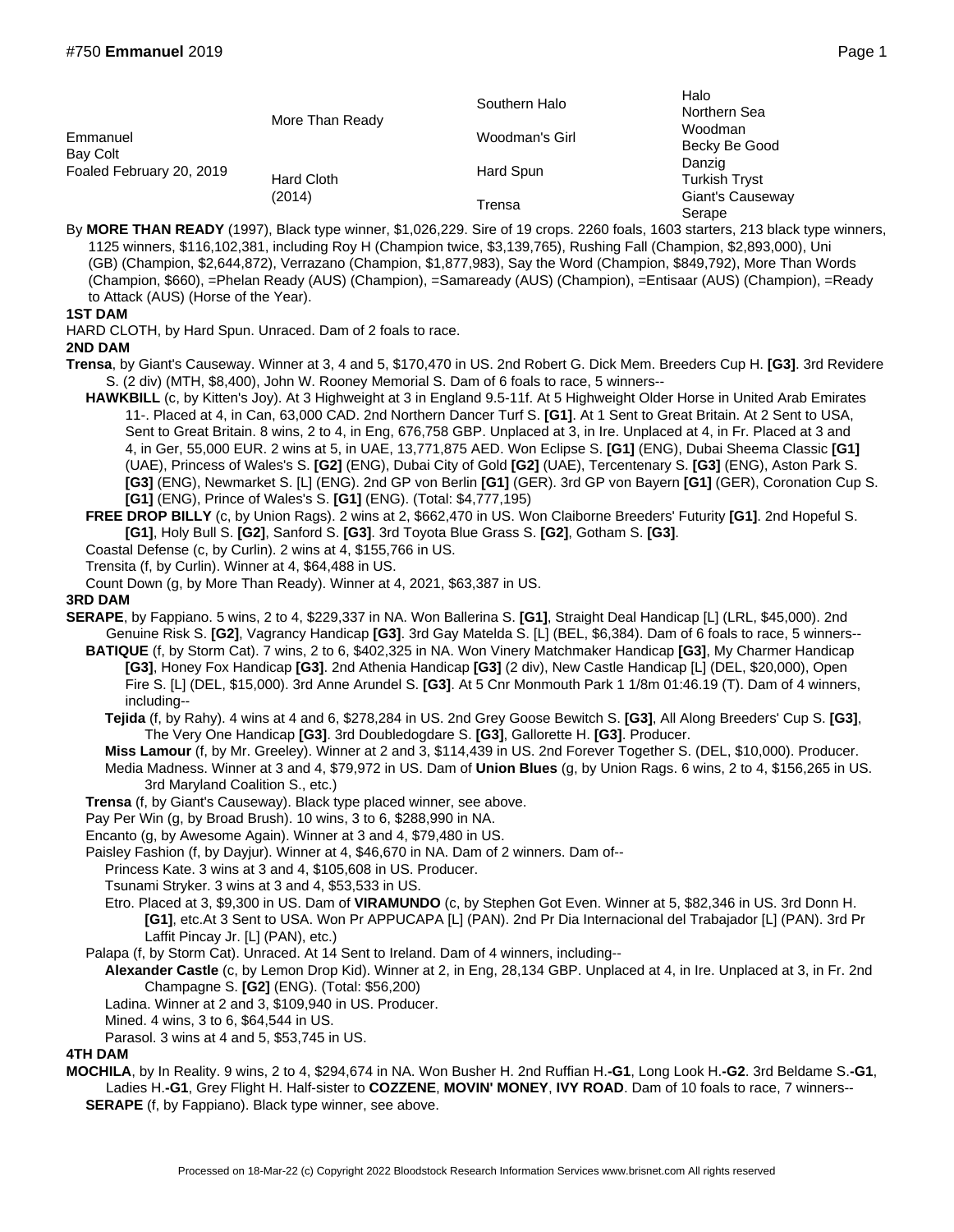| Emmanuel<br>Bay Colt<br>Foaled February 20, 2019 | More Than Ready      | Southern Halo  | Halo<br>Northern Sea<br>Woodman<br>Becky Be Good |
|--------------------------------------------------|----------------------|----------------|--------------------------------------------------|
|                                                  |                      | Woodman's Girl |                                                  |
|                                                  | Hard Cloth<br>(2014) | Hard Spun      | Danzig<br><b>Turkish Tryst</b>                   |
|                                                  |                      | Trensa         | Giant's Causeway<br>Serape                       |

By **MORE THAN READY** (1997), Black type winner, \$1,026,229. Sire of 19 crops. 2260 foals, 1603 starters, 213 black type winners, 1125 winners, \$116,102,381, including Roy H (Champion twice, \$3,139,765), Rushing Fall (Champion, \$2,893,000), Uni (GB) (Champion, \$2,644,872), Verrazano (Champion, \$1,877,983), Say the Word (Champion, \$849,792), More Than Words (Champion, \$660), =Phelan Ready (AUS) (Champion), =Samaready (AUS) (Champion), =Entisaar (AUS) (Champion), =Ready to Attack (AUS) (Horse of the Year).

## **1ST DAM**

HARD CLOTH, by Hard Spun. Unraced. Dam of 2 foals to race.

**2ND DAM**

- **Trensa**, by Giant's Causeway. Winner at 3, 4 and 5, \$170,470 in US. 2nd Robert G. Dick Mem. Breeders Cup H. **[G3]**. 3rd Revidere S. (2 div) (MTH, \$8,400), John W. Rooney Memorial S. Dam of 6 foals to race, 5 winners--
	- **HAWKBILL** (c, by Kitten's Joy). At 3 Highweight at 3 in England 9.5-11f. At 5 Highweight Older Horse in United Arab Emirates 11-. Placed at 4, in Can, 63,000 CAD. 2nd Northern Dancer Turf S. **[G1]**. At 1 Sent to Great Britain. At 2 Sent to USA, Sent to Great Britain. 8 wins, 2 to 4, in Eng, 676,758 GBP. Unplaced at 3, in Ire. Unplaced at 4, in Fr. Placed at 3 and 4, in Ger, 55,000 EUR. 2 wins at 5, in UAE, 13,771,875 AED. Won Eclipse S. **[G1]** (ENG), Dubai Sheema Classic **[G1]** (UAE), Princess of Wales's S. **[G2]** (ENG), Dubai City of Gold **[G2]** (UAE), Tercentenary S. **[G3]** (ENG), Aston Park S. **[G3]** (ENG), Newmarket S. [L] (ENG). 2nd GP von Berlin **[G1]** (GER). 3rd GP von Bayern **[G1]** (GER), Coronation Cup S. **[G1]** (ENG), Prince of Wales's S. **[G1]** (ENG). (Total: \$4,777,195)

**FREE DROP BILLY** (c, by Union Rags). 2 wins at 2, \$662,470 in US. Won Claiborne Breeders' Futurity **[G1]**. 2nd Hopeful S. **[G1]**, Holy Bull S. **[G2]**, Sanford S. **[G3]**. 3rd Toyota Blue Grass S. **[G2]**, Gotham S. **[G3]**.

Coastal Defense (c, by Curlin). 2 wins at 4, \$155,766 in US.

Trensita (f, by Curlin). Winner at 4, \$64,488 in US.

Count Down (g, by More Than Ready). Winner at 4, 2021, \$63,387 in US.

**3RD DAM**

- **SERAPE**, by Fappiano. 5 wins, 2 to 4, \$229,337 in NA. Won Ballerina S. **[G1]**, Straight Deal Handicap [L] (LRL, \$45,000). 2nd Genuine Risk S. **[G2]**, Vagrancy Handicap **[G3]**. 3rd Gay Matelda S. [L] (BEL, \$6,384). Dam of 6 foals to race, 5 winners--
	- **BATIQUE** (f, by Storm Cat). 7 wins, 2 to 6, \$402,325 in NA. Won Vinery Matchmaker Handicap **[G3]**, My Charmer Handicap **[G3]**, Honey Fox Handicap **[G3]**. 2nd Athenia Handicap **[G3]** (2 div), New Castle Handicap [L] (DEL, \$20,000), Open Fire S. [L] (DEL, \$15,000). 3rd Anne Arundel S. **[G3]**. At 5 Cnr Monmouth Park 1 1/8m 01:46.19 (T). Dam of 4 winners, including--
		- **Tejida** (f, by Rahy). 4 wins at 4 and 6, \$278,284 in US. 2nd Grey Goose Bewitch S. **[G3]**, All Along Breeders' Cup S. **[G3]**, The Very One Handicap **[G3]**. 3rd Doubledogdare S. **[G3]**, Gallorette H. **[G3]**. Producer.
		- **Miss Lamour** (f, by Mr. Greeley). Winner at 2 and 3, \$114,439 in US. 2nd Forever Together S. (DEL, \$10,000). Producer.
		- Media Madness. Winner at 3 and 4, \$79,972 in US. Dam of **Union Blues** (g, by Union Rags. 6 wins, 2 to 4, \$156,265 in US. 3rd Maryland Coalition S., etc.)
	- **Trensa** (f, by Giant's Causeway). Black type placed winner, see above.
	- Pay Per Win (g, by Broad Brush). 10 wins, 3 to 6, \$288,990 in NA.

Encanto (g, by Awesome Again). Winner at 3 and 4, \$79,480 in US.

- Paisley Fashion (f, by Dayjur). Winner at 4, \$46,670 in NA. Dam of 2 winners. Dam of--
	- Princess Kate. 3 wins at 3 and 4, \$105,608 in US. Producer.

Tsunami Stryker. 3 wins at 3 and 4, \$53,533 in US.

- Etro. Placed at 3, \$9,300 in US. Dam of **VIRAMUNDO** (c, by Stephen Got Even. Winner at 5, \$82,346 in US. 3rd Donn H. **[G1]**, etc.At 3 Sent to USA. Won Pr APPUCAPA [L] (PAN). 2nd Pr Dia Internacional del Trabajador [L] (PAN). 3rd Pr Laffit Pincay Jr. [L] (PAN), etc.)
- Palapa (f, by Storm Cat). Unraced. At 14 Sent to Ireland. Dam of 4 winners, including--
	- **Alexander Castle** (c, by Lemon Drop Kid). Winner at 2, in Eng, 28,134 GBP. Unplaced at 4, in Ire. Unplaced at 3, in Fr. 2nd Champagne S. **[G2]** (ENG). (Total: \$56,200)
	- Ladina. Winner at 2 and 3, \$109,940 in US. Producer.
	- Mined. 4 wins, 3 to 6, \$64,544 in US.
	- Parasol. 3 wins at 4 and 5, \$53,745 in US.

**4TH DAM**

**MOCHILA**, by In Reality. 9 wins, 2 to 4, \$294,674 in NA. Won Busher H. 2nd Ruffian H.**-G1**, Long Look H.**-G2**. 3rd Beldame S.**-G1**, Ladies H.**-G1**, Grey Flight H. Half-sister to **COZZENE**, **MOVIN' MONEY**, **IVY ROAD**. Dam of 10 foals to race, 7 winners-- **SERAPE** (f, by Fappiano). Black type winner, see above.